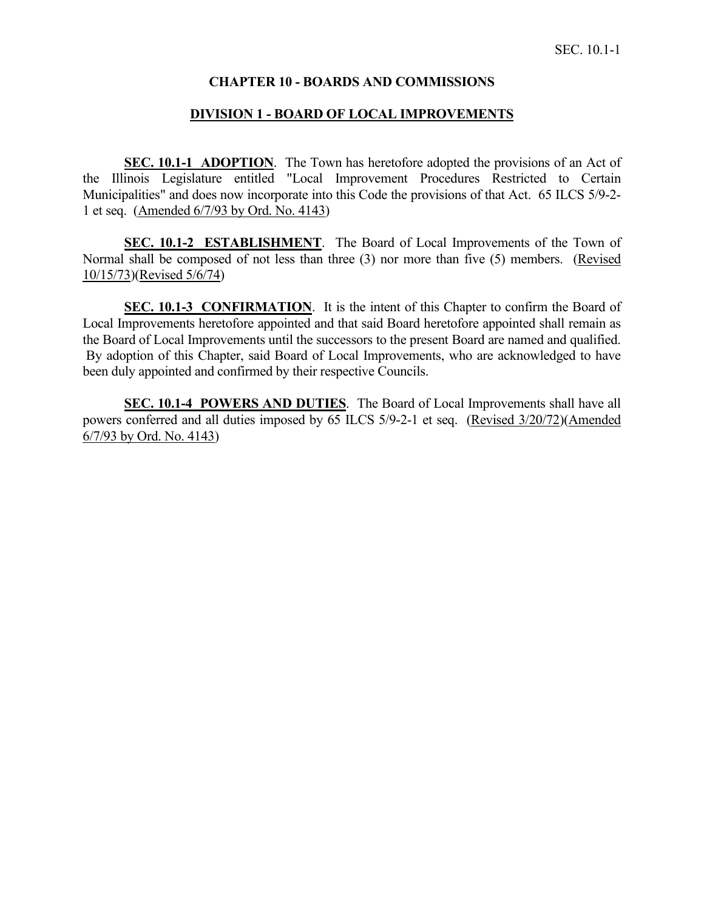## **CHAPTER 10 - BOARDS AND COMMISSIONS**

#### **DIVISION 1 - BOARD OF LOCAL IMPROVEMENTS**

**SEC. 10.1-1 ADOPTION**. The Town has heretofore adopted the provisions of an Act of the Illinois Legislature entitled "Local Improvement Procedures Restricted to Certain Municipalities" and does now incorporate into this Code the provisions of that Act. 65 ILCS 5/9-2- 1 et seq. (Amended 6/7/93 by Ord. No. 4143)

**SEC. 10.1-2 ESTABLISHMENT**. The Board of Local Improvements of the Town of Normal shall be composed of not less than three (3) nor more than five (5) members. (Revised 10/15/73)(Revised 5/6/74)

**SEC. 10.1-3 CONFIRMATION.** It is the intent of this Chapter to confirm the Board of Local Improvements heretofore appointed and that said Board heretofore appointed shall remain as the Board of Local Improvements until the successors to the present Board are named and qualified. By adoption of this Chapter, said Board of Local Improvements, who are acknowledged to have been duly appointed and confirmed by their respective Councils.

**SEC. 10.1-4 POWERS AND DUTIES**. The Board of Local Improvements shall have all powers conferred and all duties imposed by 65 ILCS 5/9-2-1 et seq. (Revised 3/20/72)(Amended 6/7/93 by Ord. No. 4143)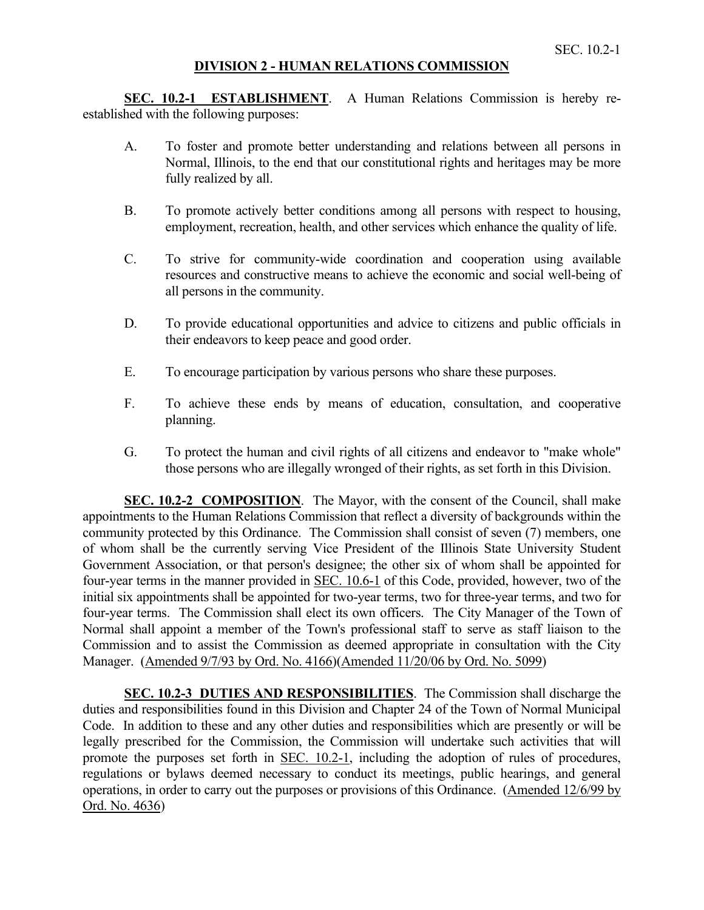## **DIVISION 2 - HUMAN RELATIONS COMMISSION**

**SEC. 10.2-1 ESTABLISHMENT**. A Human Relations Commission is hereby reestablished with the following purposes:

- A. To foster and promote better understanding and relations between all persons in Normal, Illinois, to the end that our constitutional rights and heritages may be more fully realized by all.
- B. To promote actively better conditions among all persons with respect to housing, employment, recreation, health, and other services which enhance the quality of life.
- C. To strive for community-wide coordination and cooperation using available resources and constructive means to achieve the economic and social well-being of all persons in the community.
- D. To provide educational opportunities and advice to citizens and public officials in their endeavors to keep peace and good order.
- E. To encourage participation by various persons who share these purposes.
- F. To achieve these ends by means of education, consultation, and cooperative planning.
- G. To protect the human and civil rights of all citizens and endeavor to "make whole" those persons who are illegally wronged of their rights, as set forth in this Division.

**SEC. 10.2-2 COMPOSITION**. The Mayor, with the consent of the Council, shall make appointments to the Human Relations Commission that reflect a diversity of backgrounds within the community protected by this Ordinance. The Commission shall consist of seven (7) members, one of whom shall be the currently serving Vice President of the Illinois State University Student Government Association, or that person's designee; the other six of whom shall be appointed for four-year terms in the manner provided in SEC. 10.6-1 of this Code, provided, however, two of the initial six appointments shall be appointed for two-year terms, two for three-year terms, and two for four-year terms. The Commission shall elect its own officers. The City Manager of the Town of Normal shall appoint a member of the Town's professional staff to serve as staff liaison to the Commission and to assist the Commission as deemed appropriate in consultation with the City Manager. (Amended 9/7/93 by Ord. No. 4166)(Amended 11/20/06 by Ord. No. 5099)

**SEC. 10.2-3 DUTIES AND RESPONSIBILITIES**. The Commission shall discharge the duties and responsibilities found in this Division and Chapter 24 of the Town of Normal Municipal Code. In addition to these and any other duties and responsibilities which are presently or will be legally prescribed for the Commission, the Commission will undertake such activities that will promote the purposes set forth in SEC. 10.2-1, including the adoption of rules of procedures, regulations or bylaws deemed necessary to conduct its meetings, public hearings, and general operations, in order to carry out the purposes or provisions of this Ordinance. (Amended 12/6/99 by Ord. No. 4636)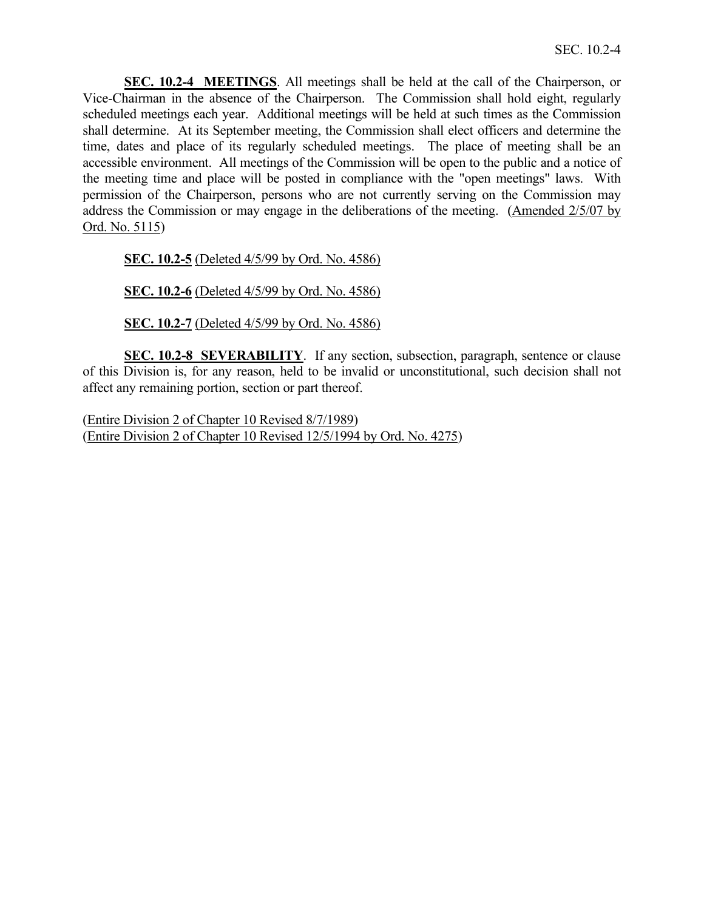**SEC. 10.2-4 MEETINGS**. All meetings shall be held at the call of the Chairperson, or Vice-Chairman in the absence of the Chairperson. The Commission shall hold eight, regularly scheduled meetings each year. Additional meetings will be held at such times as the Commission shall determine. At its September meeting, the Commission shall elect officers and determine the time, dates and place of its regularly scheduled meetings. The place of meeting shall be an accessible environment. All meetings of the Commission will be open to the public and a notice of the meeting time and place will be posted in compliance with the "open meetings" laws. With permission of the Chairperson, persons who are not currently serving on the Commission may address the Commission or may engage in the deliberations of the meeting. (Amended 2/5/07 by Ord. No. 5115)

**SEC. 10.2-5** (Deleted 4/5/99 by Ord. No. 4586)

**SEC. 10.2-6** (Deleted 4/5/99 by Ord. No. 4586)

**SEC. 10.2-7** (Deleted 4/5/99 by Ord. No. 4586)

**SEC. 10.2-8 SEVERABILITY**. If any section, subsection, paragraph, sentence or clause of this Division is, for any reason, held to be invalid or unconstitutional, such decision shall not affect any remaining portion, section or part thereof.

(Entire Division 2 of Chapter 10 Revised 8/7/1989) (Entire Division 2 of Chapter 10 Revised 12/5/1994 by Ord. No. 4275)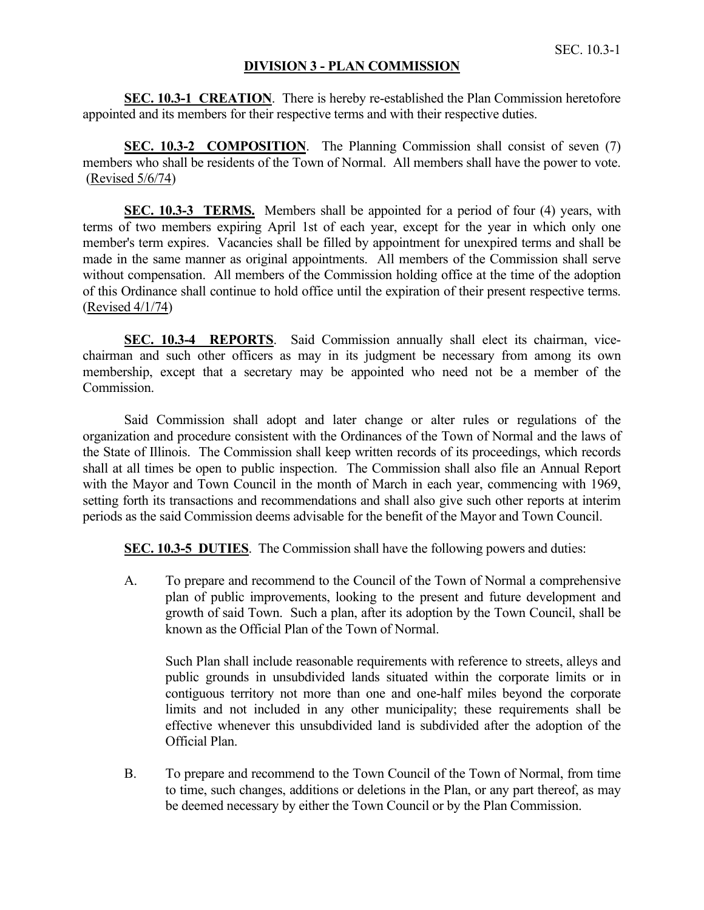## **DIVISION 3 - PLAN COMMISSION**

**SEC. 10.3-1 CREATION**. There is hereby re-established the Plan Commission heretofore appointed and its members for their respective terms and with their respective duties.

**SEC. 10.3-2 COMPOSITION.** The Planning Commission shall consist of seven (7) members who shall be residents of the Town of Normal. All members shall have the power to vote. (Revised 5/6/74)

**SEC. 10.3-3 TERMS.** Members shall be appointed for a period of four (4) years, with terms of two members expiring April 1st of each year, except for the year in which only one member's term expires. Vacancies shall be filled by appointment for unexpired terms and shall be made in the same manner as original appointments. All members of the Commission shall serve without compensation. All members of the Commission holding office at the time of the adoption of this Ordinance shall continue to hold office until the expiration of their present respective terms. (Revised 4/1/74)

**SEC. 10.3-4 REPORTS**. Said Commission annually shall elect its chairman, vicechairman and such other officers as may in its judgment be necessary from among its own membership, except that a secretary may be appointed who need not be a member of the Commission.

Said Commission shall adopt and later change or alter rules or regulations of the organization and procedure consistent with the Ordinances of the Town of Normal and the laws of the State of Illinois. The Commission shall keep written records of its proceedings, which records shall at all times be open to public inspection. The Commission shall also file an Annual Report with the Mayor and Town Council in the month of March in each year, commencing with 1969, setting forth its transactions and recommendations and shall also give such other reports at interim periods as the said Commission deems advisable for the benefit of the Mayor and Town Council.

**SEC. 10.3-5 DUTIES**. The Commission shall have the following powers and duties:

A. To prepare and recommend to the Council of the Town of Normal a comprehensive plan of public improvements, looking to the present and future development and growth of said Town. Such a plan, after its adoption by the Town Council, shall be known as the Official Plan of the Town of Normal.

Such Plan shall include reasonable requirements with reference to streets, alleys and public grounds in unsubdivided lands situated within the corporate limits or in contiguous territory not more than one and one-half miles beyond the corporate limits and not included in any other municipality; these requirements shall be effective whenever this unsubdivided land is subdivided after the adoption of the Official Plan.

B. To prepare and recommend to the Town Council of the Town of Normal, from time to time, such changes, additions or deletions in the Plan, or any part thereof, as may be deemed necessary by either the Town Council or by the Plan Commission.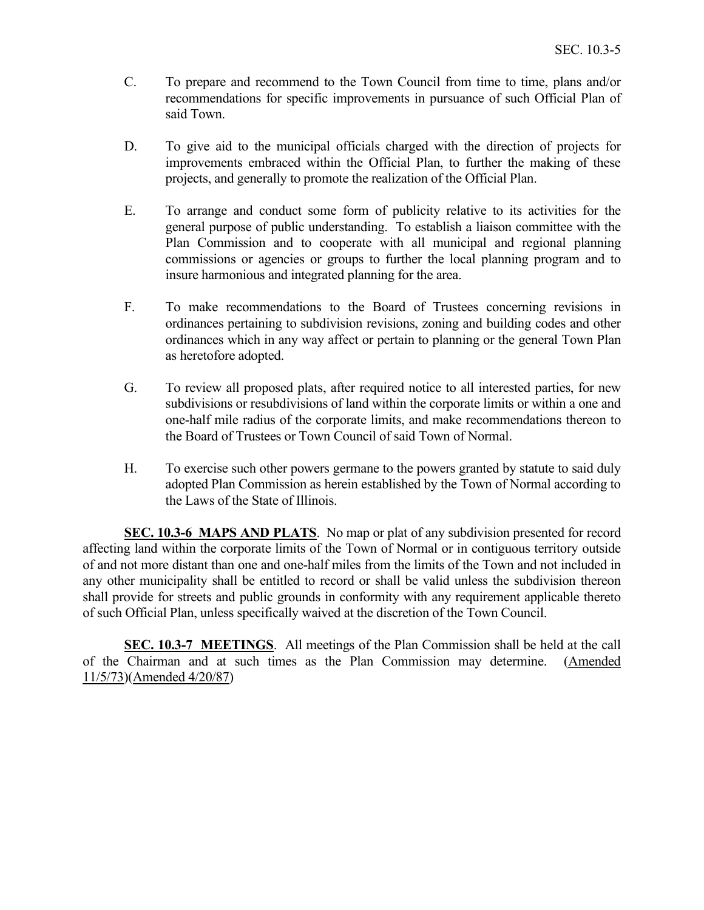- C. To prepare and recommend to the Town Council from time to time, plans and/or recommendations for specific improvements in pursuance of such Official Plan of said Town.
- D. To give aid to the municipal officials charged with the direction of projects for improvements embraced within the Official Plan, to further the making of these projects, and generally to promote the realization of the Official Plan.
- E. To arrange and conduct some form of publicity relative to its activities for the general purpose of public understanding. To establish a liaison committee with the Plan Commission and to cooperate with all municipal and regional planning commissions or agencies or groups to further the local planning program and to insure harmonious and integrated planning for the area.
- F. To make recommendations to the Board of Trustees concerning revisions in ordinances pertaining to subdivision revisions, zoning and building codes and other ordinances which in any way affect or pertain to planning or the general Town Plan as heretofore adopted.
- G. To review all proposed plats, after required notice to all interested parties, for new subdivisions or resubdivisions of land within the corporate limits or within a one and one-half mile radius of the corporate limits, and make recommendations thereon to the Board of Trustees or Town Council of said Town of Normal.
- H. To exercise such other powers germane to the powers granted by statute to said duly adopted Plan Commission as herein established by the Town of Normal according to the Laws of the State of Illinois.

**SEC. 10.3-6 MAPS AND PLATS**. No map or plat of any subdivision presented for record affecting land within the corporate limits of the Town of Normal or in contiguous territory outside of and not more distant than one and one-half miles from the limits of the Town and not included in any other municipality shall be entitled to record or shall be valid unless the subdivision thereon shall provide for streets and public grounds in conformity with any requirement applicable thereto of such Official Plan, unless specifically waived at the discretion of the Town Council.

**SEC. 10.3-7 MEETINGS**. All meetings of the Plan Commission shall be held at the call of the Chairman and at such times as the Plan Commission may determine. (Amended 11/5/73)(Amended 4/20/87)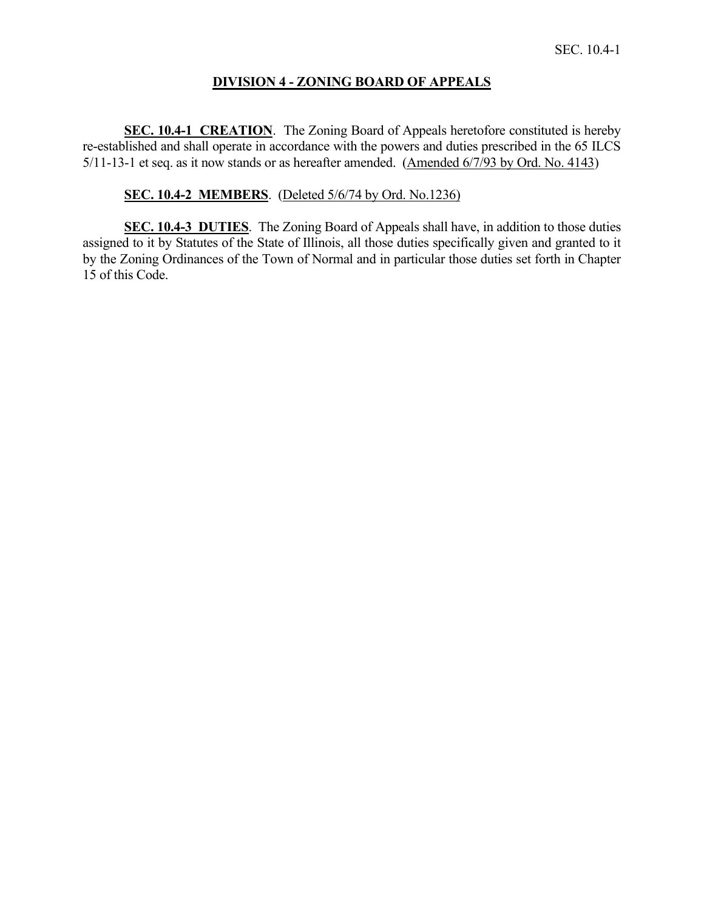# **DIVISION 4 - ZONING BOARD OF APPEALS**

**SEC. 10.4-1 CREATION**. The Zoning Board of Appeals heretofore constituted is hereby re-established and shall operate in accordance with the powers and duties prescribed in the 65 ILCS 5/11-13-1 et seq. as it now stands or as hereafter amended. (Amended 6/7/93 by Ord. No. 4143)

## **SEC. 10.4-2 MEMBERS**. (Deleted 5/6/74 by Ord. No.1236)

**SEC. 10.4-3 DUTIES**. The Zoning Board of Appeals shall have, in addition to those duties assigned to it by Statutes of the State of Illinois, all those duties specifically given and granted to it by the Zoning Ordinances of the Town of Normal and in particular those duties set forth in Chapter 15 of this Code.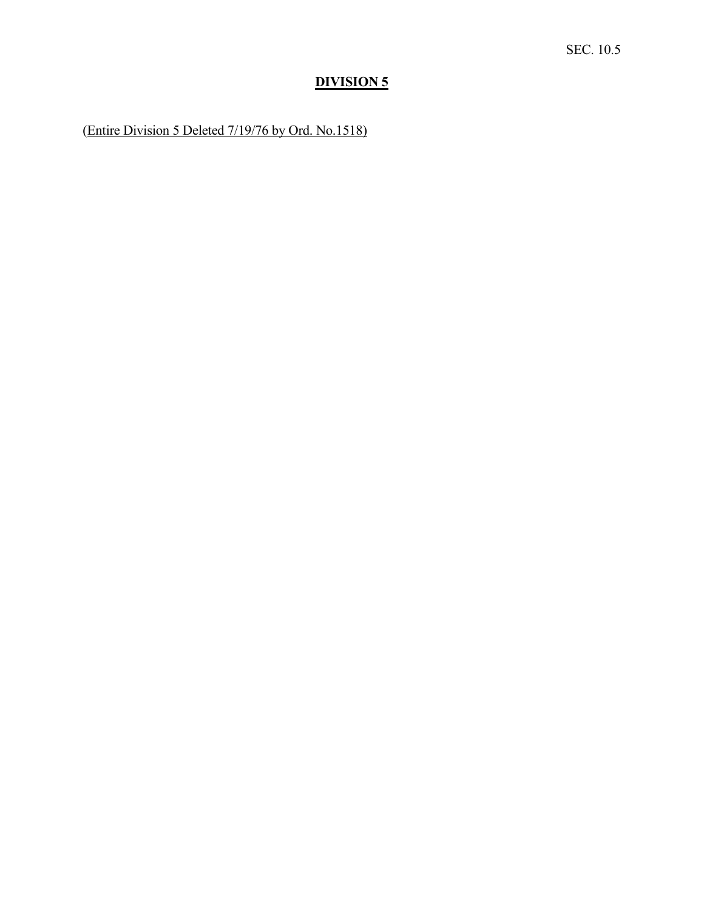# **DIVISION 5**

(Entire Division 5 Deleted 7/19/76 by Ord. No.1518)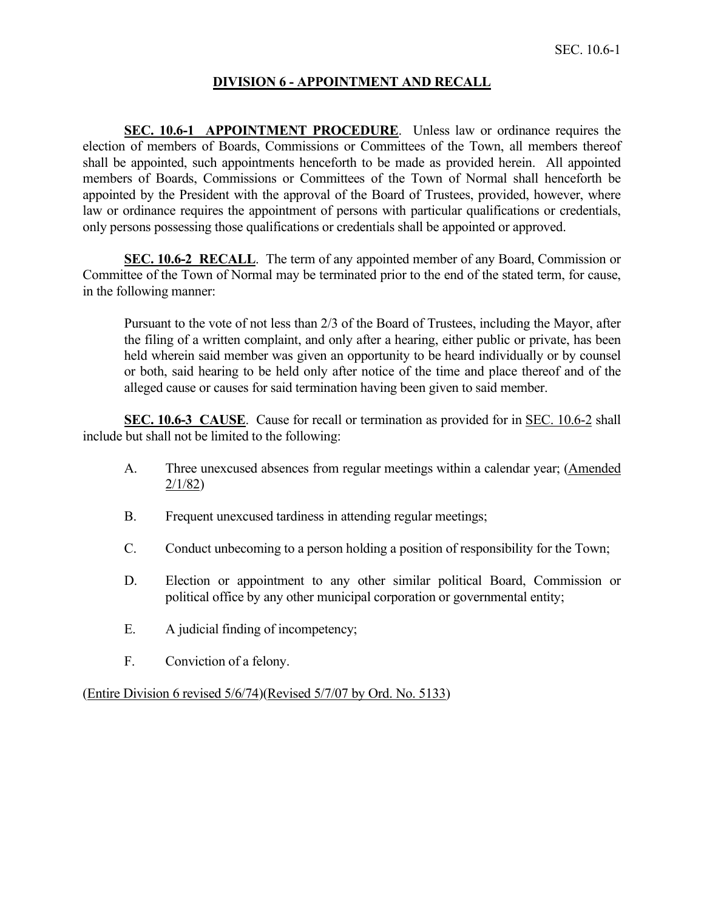# **DIVISION 6 - APPOINTMENT AND RECALL**

**SEC. 10.6-1 APPOINTMENT PROCEDURE**. Unless law or ordinance requires the election of members of Boards, Commissions or Committees of the Town, all members thereof shall be appointed, such appointments henceforth to be made as provided herein. All appointed members of Boards, Commissions or Committees of the Town of Normal shall henceforth be appointed by the President with the approval of the Board of Trustees, provided, however, where law or ordinance requires the appointment of persons with particular qualifications or credentials, only persons possessing those qualifications or credentials shall be appointed or approved.

**SEC. 10.6-2 RECALL**. The term of any appointed member of any Board, Commission or Committee of the Town of Normal may be terminated prior to the end of the stated term, for cause, in the following manner:

Pursuant to the vote of not less than 2/3 of the Board of Trustees, including the Mayor, after the filing of a written complaint, and only after a hearing, either public or private, has been held wherein said member was given an opportunity to be heard individually or by counsel or both, said hearing to be held only after notice of the time and place thereof and of the alleged cause or causes for said termination having been given to said member.

**SEC. 10.6-3 CAUSE**. Cause for recall or termination as provided for in SEC. 10.6-2 shall include but shall not be limited to the following:

- A. Three unexcused absences from regular meetings within a calendar year; (Amended 2/1/82)
- B. Frequent unexcused tardiness in attending regular meetings;
- C. Conduct unbecoming to a person holding a position of responsibility for the Town;
- D. Election or appointment to any other similar political Board, Commission or political office by any other municipal corporation or governmental entity;
- E. A judicial finding of incompetency;
- F. Conviction of a felony.

(Entire Division 6 revised 5/6/74)(Revised 5/7/07 by Ord. No. 5133)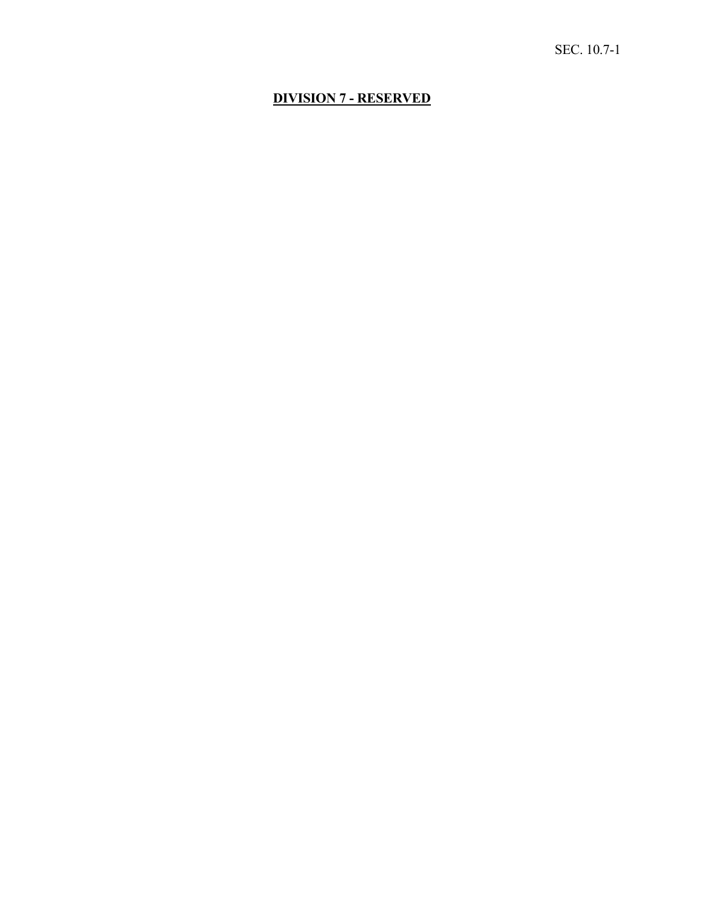# **DIVISION 7 - RESERVED**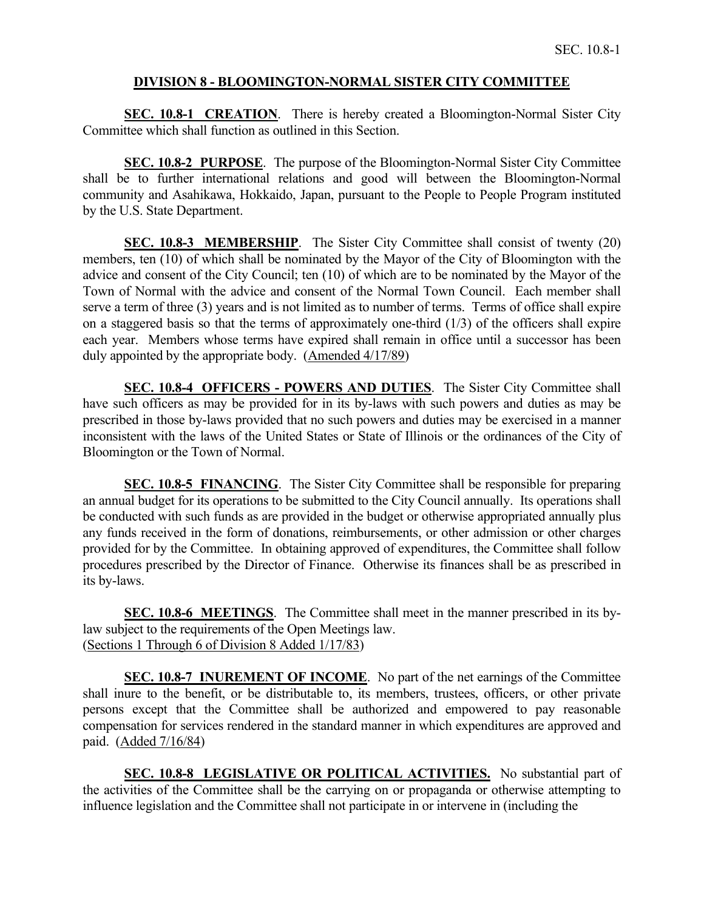### **DIVISION 8 - BLOOMINGTON-NORMAL SISTER CITY COMMITTEE**

**SEC. 10.8-1 CREATION**. There is hereby created a Bloomington-Normal Sister City Committee which shall function as outlined in this Section.

**SEC. 10.8-2 PURPOSE**. The purpose of the Bloomington-Normal Sister City Committee shall be to further international relations and good will between the Bloomington-Normal community and Asahikawa, Hokkaido, Japan, pursuant to the People to People Program instituted by the U.S. State Department.

**SEC. 10.8-3 MEMBERSHIP**. The Sister City Committee shall consist of twenty (20) members, ten (10) of which shall be nominated by the Mayor of the City of Bloomington with the advice and consent of the City Council; ten (10) of which are to be nominated by the Mayor of the Town of Normal with the advice and consent of the Normal Town Council. Each member shall serve a term of three (3) years and is not limited as to number of terms. Terms of office shall expire on a staggered basis so that the terms of approximately one-third  $(1/3)$  of the officers shall expire each year. Members whose terms have expired shall remain in office until a successor has been duly appointed by the appropriate body. (Amended 4/17/89)

**SEC. 10.8-4 OFFICERS - POWERS AND DUTIES**. The Sister City Committee shall have such officers as may be provided for in its by-laws with such powers and duties as may be prescribed in those by-laws provided that no such powers and duties may be exercised in a manner inconsistent with the laws of the United States or State of Illinois or the ordinances of the City of Bloomington or the Town of Normal.

**SEC. 10.8-5 FINANCING**. The Sister City Committee shall be responsible for preparing an annual budget for its operations to be submitted to the City Council annually. Its operations shall be conducted with such funds as are provided in the budget or otherwise appropriated annually plus any funds received in the form of donations, reimbursements, or other admission or other charges provided for by the Committee. In obtaining approved of expenditures, the Committee shall follow procedures prescribed by the Director of Finance. Otherwise its finances shall be as prescribed in its by-laws.

**SEC. 10.8-6 MEETINGS**. The Committee shall meet in the manner prescribed in its bylaw subject to the requirements of the Open Meetings law. (Sections 1 Through 6 of Division 8 Added 1/17/83)

**SEC. 10.8-7 INUREMENT OF INCOME**. No part of the net earnings of the Committee shall inure to the benefit, or be distributable to, its members, trustees, officers, or other private persons except that the Committee shall be authorized and empowered to pay reasonable compensation for services rendered in the standard manner in which expenditures are approved and paid. (Added 7/16/84)

**SEC. 10.8-8 LEGISLATIVE OR POLITICAL ACTIVITIES.** No substantial part of the activities of the Committee shall be the carrying on or propaganda or otherwise attempting to influence legislation and the Committee shall not participate in or intervene in (including the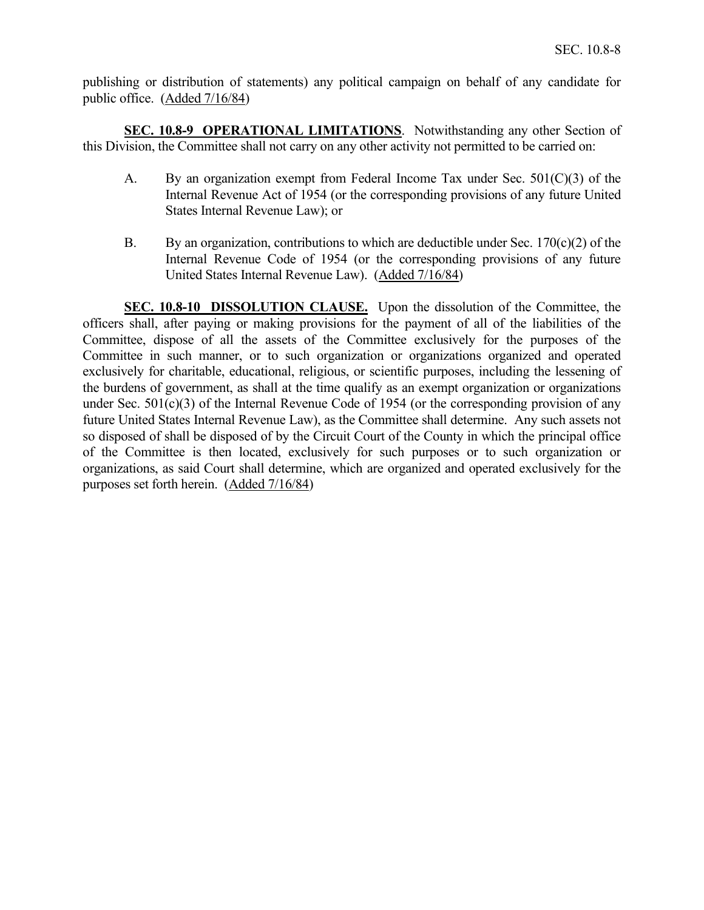publishing or distribution of statements) any political campaign on behalf of any candidate for public office. (Added 7/16/84)

**SEC. 10.8-9 OPERATIONAL LIMITATIONS**. Notwithstanding any other Section of this Division, the Committee shall not carry on any other activity not permitted to be carried on:

- A. By an organization exempt from Federal Income Tax under Sec. 501(C)(3) of the Internal Revenue Act of 1954 (or the corresponding provisions of any future United States Internal Revenue Law); or
- B. By an organization, contributions to which are deductible under Sec.  $170(c)(2)$  of the Internal Revenue Code of 1954 (or the corresponding provisions of any future United States Internal Revenue Law). (Added 7/16/84)

**SEC. 10.8-10 DISSOLUTION CLAUSE.** Upon the dissolution of the Committee, the officers shall, after paying or making provisions for the payment of all of the liabilities of the Committee, dispose of all the assets of the Committee exclusively for the purposes of the Committee in such manner, or to such organization or organizations organized and operated exclusively for charitable, educational, religious, or scientific purposes, including the lessening of the burdens of government, as shall at the time qualify as an exempt organization or organizations under Sec. 501(c)(3) of the Internal Revenue Code of 1954 (or the corresponding provision of any future United States Internal Revenue Law), as the Committee shall determine. Any such assets not so disposed of shall be disposed of by the Circuit Court of the County in which the principal office of the Committee is then located, exclusively for such purposes or to such organization or organizations, as said Court shall determine, which are organized and operated exclusively for the purposes set forth herein. (Added 7/16/84)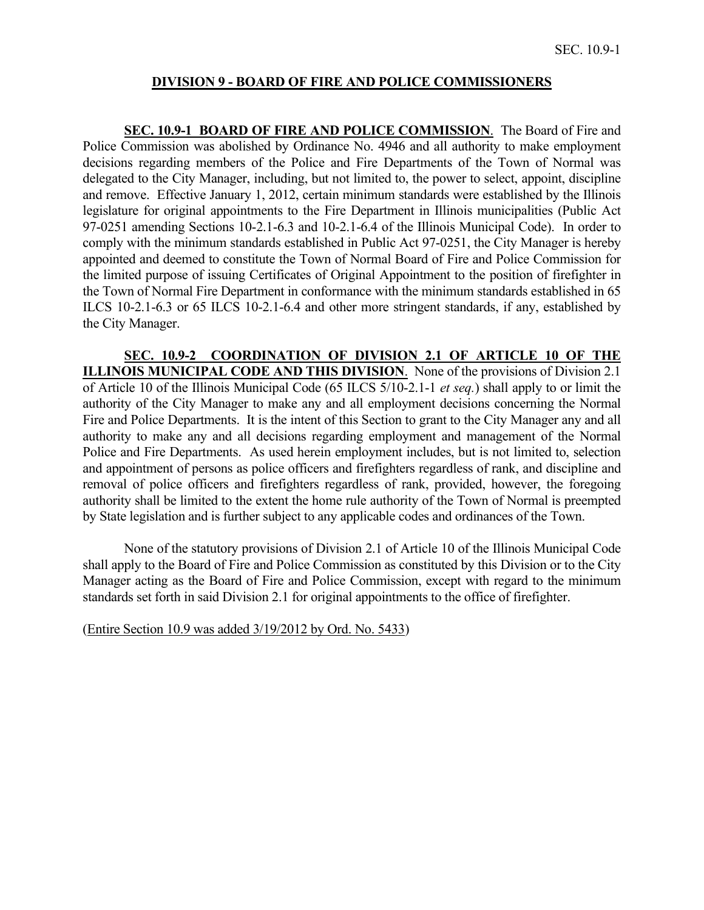## **DIVISION 9 - BOARD OF FIRE AND POLICE COMMISSIONERS**

**SEC. 10.9-1 BOARD OF FIRE AND POLICE COMMISSION**. The Board of Fire and Police Commission was abolished by Ordinance No. 4946 and all authority to make employment decisions regarding members of the Police and Fire Departments of the Town of Normal was delegated to the City Manager, including, but not limited to, the power to select, appoint, discipline and remove. Effective January 1, 2012, certain minimum standards were established by the Illinois legislature for original appointments to the Fire Department in Illinois municipalities (Public Act 97-0251 amending Sections 10-2.1-6.3 and 10-2.1-6.4 of the Illinois Municipal Code). In order to comply with the minimum standards established in Public Act 97-0251, the City Manager is hereby appointed and deemed to constitute the Town of Normal Board of Fire and Police Commission for the limited purpose of issuing Certificates of Original Appointment to the position of firefighter in the Town of Normal Fire Department in conformance with the minimum standards established in 65 ILCS 10-2.1-6.3 or 65 ILCS 10-2.1-6.4 and other more stringent standards, if any, established by the City Manager.

**SEC. 10.9-2 COORDINATION OF DIVISION 2.1 OF ARTICLE 10 OF THE ILLINOIS MUNICIPAL CODE AND THIS DIVISION**. None of the provisions of Division 2.1 of Article 10 of the Illinois Municipal Code (65 ILCS 5/10-2.1-1 *et seq.*) shall apply to or limit the authority of the City Manager to make any and all employment decisions concerning the Normal Fire and Police Departments. It is the intent of this Section to grant to the City Manager any and all authority to make any and all decisions regarding employment and management of the Normal Police and Fire Departments. As used herein employment includes, but is not limited to, selection and appointment of persons as police officers and firefighters regardless of rank, and discipline and removal of police officers and firefighters regardless of rank, provided, however, the foregoing authority shall be limited to the extent the home rule authority of the Town of Normal is preempted by State legislation and is further subject to any applicable codes and ordinances of the Town.

None of the statutory provisions of Division 2.1 of Article 10 of the Illinois Municipal Code shall apply to the Board of Fire and Police Commission as constituted by this Division or to the City Manager acting as the Board of Fire and Police Commission, except with regard to the minimum standards set forth in said Division 2.1 for original appointments to the office of firefighter.

(Entire Section 10.9 was added 3/19/2012 by Ord. No. 5433)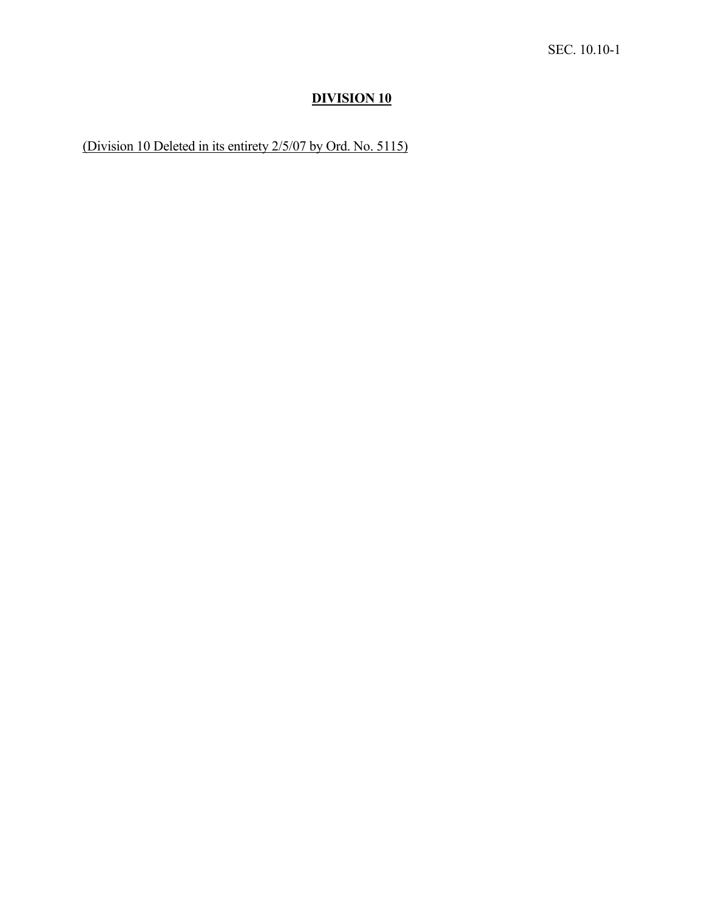# **DIVISION 10**

(Division 10 Deleted in its entirety 2/5/07 by Ord. No. 5115)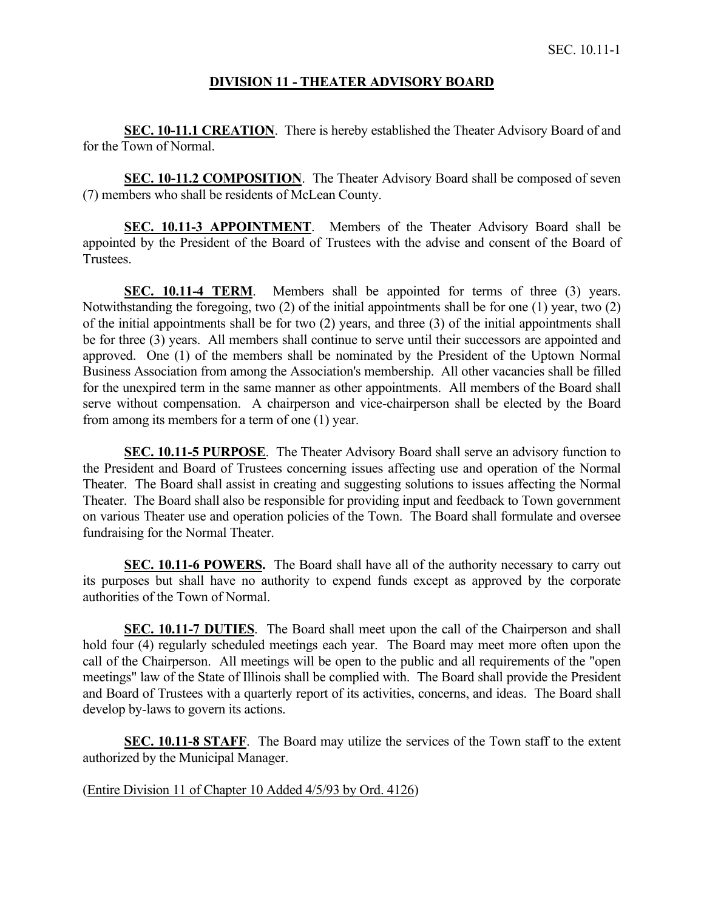### **DIVISION 11 - THEATER ADVISORY BOARD**

**SEC. 10-11.1 CREATION**. There is hereby established the Theater Advisory Board of and for the Town of Normal.

**SEC. 10-11.2 COMPOSITION**. The Theater Advisory Board shall be composed of seven (7) members who shall be residents of McLean County.

**SEC. 10.11-3 APPOINTMENT**. Members of the Theater Advisory Board shall be appointed by the President of the Board of Trustees with the advise and consent of the Board of Trustees.

**SEC. 10.11-4 TERM.** Members shall be appointed for terms of three (3) years. Notwithstanding the foregoing, two (2) of the initial appointments shall be for one (1) year, two (2) of the initial appointments shall be for two (2) years, and three (3) of the initial appointments shall be for three (3) years. All members shall continue to serve until their successors are appointed and approved. One (1) of the members shall be nominated by the President of the Uptown Normal Business Association from among the Association's membership. All other vacancies shall be filled for the unexpired term in the same manner as other appointments. All members of the Board shall serve without compensation. A chairperson and vice-chairperson shall be elected by the Board from among its members for a term of one (1) year.

**SEC. 10.11-5 PURPOSE**. The Theater Advisory Board shall serve an advisory function to the President and Board of Trustees concerning issues affecting use and operation of the Normal Theater. The Board shall assist in creating and suggesting solutions to issues affecting the Normal Theater. The Board shall also be responsible for providing input and feedback to Town government on various Theater use and operation policies of the Town. The Board shall formulate and oversee fundraising for the Normal Theater.

**SEC. 10.11-6 POWERS.** The Board shall have all of the authority necessary to carry out its purposes but shall have no authority to expend funds except as approved by the corporate authorities of the Town of Normal.

**SEC. 10.11-7 DUTIES**. The Board shall meet upon the call of the Chairperson and shall hold four (4) regularly scheduled meetings each year. The Board may meet more often upon the call of the Chairperson. All meetings will be open to the public and all requirements of the "open meetings" law of the State of Illinois shall be complied with. The Board shall provide the President and Board of Trustees with a quarterly report of its activities, concerns, and ideas. The Board shall develop by-laws to govern its actions.

**SEC. 10.11-8 STAFF**. The Board may utilize the services of the Town staff to the extent authorized by the Municipal Manager.

(Entire Division 11 of Chapter 10 Added 4/5/93 by Ord. 4126)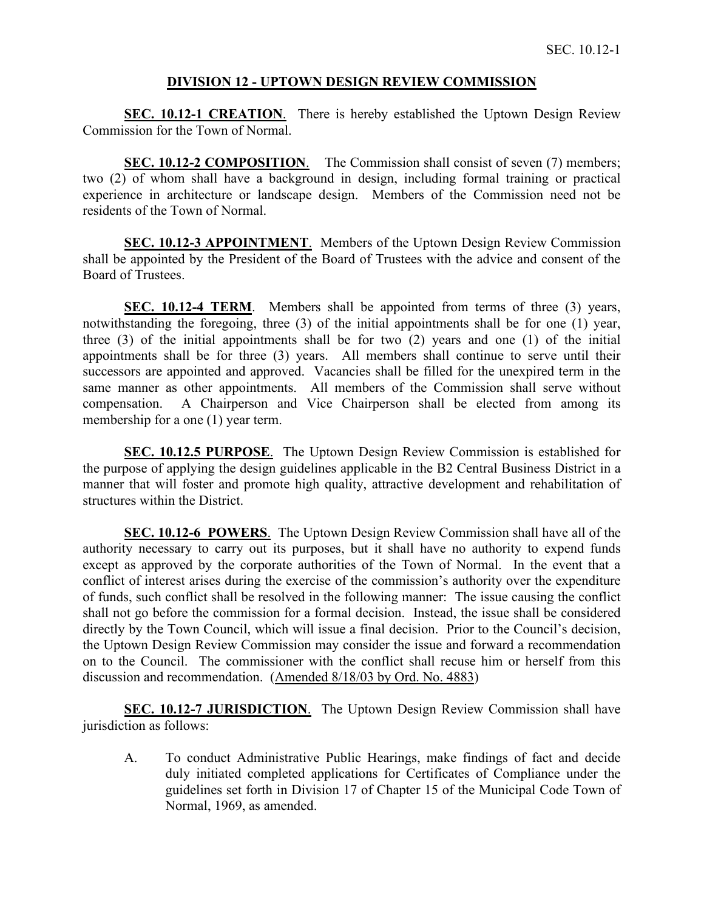# **DIVISION 12 - UPTOWN DESIGN REVIEW COMMISSION**

**SEC. 10.12-1 CREATION**. There is hereby established the Uptown Design Review Commission for the Town of Normal.

**SEC. 10.12-2 COMPOSITION.** The Commission shall consist of seven (7) members; two (2) of whom shall have a background in design, including formal training or practical experience in architecture or landscape design. Members of the Commission need not be residents of the Town of Normal.

**SEC. 10.12-3 APPOINTMENT**. Members of the Uptown Design Review Commission shall be appointed by the President of the Board of Trustees with the advice and consent of the Board of Trustees.

**SEC. 10.12-4 TERM**. Members shall be appointed from terms of three (3) years, notwithstanding the foregoing, three (3) of the initial appointments shall be for one (1) year, three (3) of the initial appointments shall be for two (2) years and one (1) of the initial appointments shall be for three (3) years. All members shall continue to serve until their successors are appointed and approved. Vacancies shall be filled for the unexpired term in the same manner as other appointments. All members of the Commission shall serve without compensation. A Chairperson and Vice Chairperson shall be elected from among its membership for a one (1) year term.

**SEC. 10.12.5 PURPOSE**. The Uptown Design Review Commission is established for the purpose of applying the design guidelines applicable in the B2 Central Business District in a manner that will foster and promote high quality, attractive development and rehabilitation of structures within the District.

**SEC. 10.12-6 POWERS**. The Uptown Design Review Commission shall have all of the authority necessary to carry out its purposes, but it shall have no authority to expend funds except as approved by the corporate authorities of the Town of Normal. In the event that a conflict of interest arises during the exercise of the commission's authority over the expenditure of funds, such conflict shall be resolved in the following manner: The issue causing the conflict shall not go before the commission for a formal decision. Instead, the issue shall be considered directly by the Town Council, which will issue a final decision. Prior to the Council's decision, the Uptown Design Review Commission may consider the issue and forward a recommendation on to the Council. The commissioner with the conflict shall recuse him or herself from this discussion and recommendation. (Amended 8/18/03 by Ord. No. 4883)

**SEC. 10.12-7 JURISDICTION**. The Uptown Design Review Commission shall have jurisdiction as follows:

A. To conduct Administrative Public Hearings, make findings of fact and decide duly initiated completed applications for Certificates of Compliance under the guidelines set forth in Division 17 of Chapter 15 of the Municipal Code Town of Normal, 1969, as amended.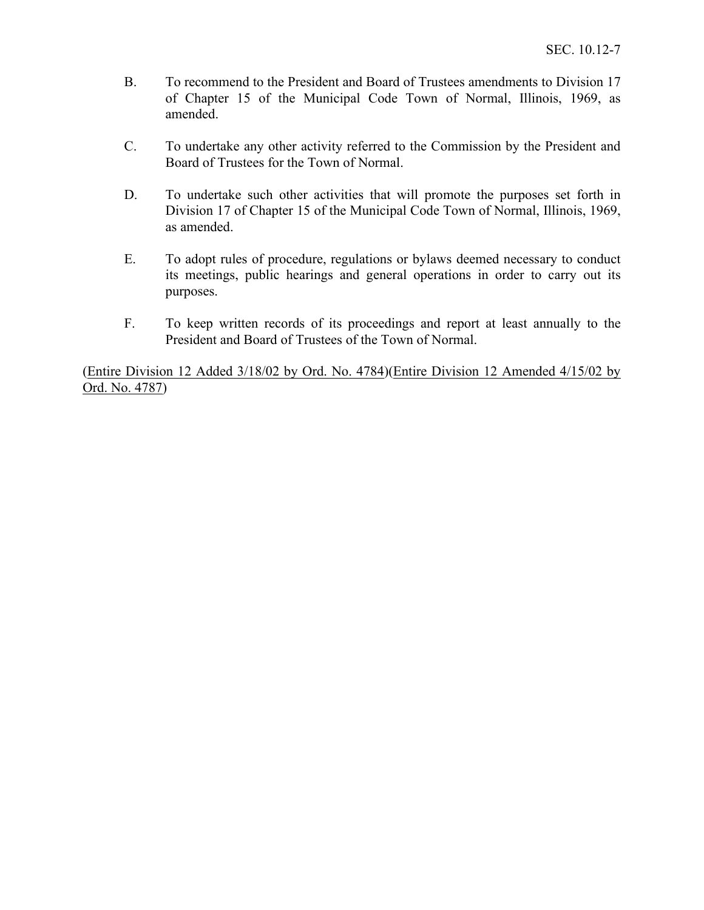- B. To recommend to the President and Board of Trustees amendments to Division 17 of Chapter 15 of the Municipal Code Town of Normal, Illinois, 1969, as amended.
- C. To undertake any other activity referred to the Commission by the President and Board of Trustees for the Town of Normal.
- D. To undertake such other activities that will promote the purposes set forth in Division 17 of Chapter 15 of the Municipal Code Town of Normal, Illinois, 1969, as amended.
- E. To adopt rules of procedure, regulations or bylaws deemed necessary to conduct its meetings, public hearings and general operations in order to carry out its purposes.
- F. To keep written records of its proceedings and report at least annually to the President and Board of Trustees of the Town of Normal.

(Entire Division 12 Added 3/18/02 by Ord. No. 4784)(Entire Division 12 Amended 4/15/02 by Ord. No. 4787)